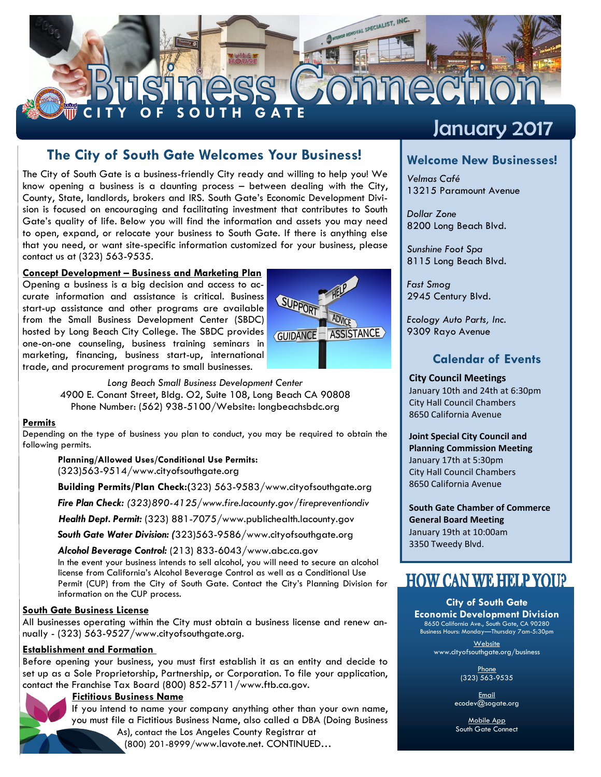

## **The City of South Gate Welcomes Your Business! Welcome New Businesses!**

The City of South Gate is a business-friendly City ready and willing to help you! We know opening a business is a daunting process – between dealing with the City, County, State, landlords, brokers and IRS. South Gate's Economic Development Division is focused on encouraging and facilitating investment that contributes to South Gate's quality of life. Below you will find the information and assets you may need to open, expand, or relocate your business to South Gate. If there is anything else that you need, or want site-specific information customized for your business, please contact us at (323) 563-9535.

#### **Concept Development – Business and Marketing Plan**

Opening a business is a big decision and access to accurate information and assistance is critical. Business start-up assistance and other programs are available from the Small Business Development Center (SBDC) hosted by Long Beach City College. The SBDC provides one-on-one counseling, business training seminars in marketing, financing, business start-up, international trade, and procurement programs to small businesses.



*Long Beach Small Business Development Center* 4900 E. Conant Street, Bldg. O2, Suite 108, Long Beach CA 90808 Phone Number: (562) 938-5100/Website: longbeachsbdc.org

#### **Permits**

Depending on the type of business you plan to conduct, you may be required to obtain the following permits.

**Planning/Allowed Uses/Conditional Use Permits:** (323)563-9514/www.cityofsouthgate.org

**Building Permits/Plan Check:(**323) 563-9583/www.cityofsouthgate.org

*Fire Plan Check: (323)890-4125/www.fire.lacounty.gov/firepreventiondiv*

*Health Dept. Permit:* (323) 881-7075/www.publichealth.lacounty.gov

*South Gate Water Division: (*323)563-9586/www.cityofsouthgate.org

*Alcohol Beverage Control:* (213) 833-6043/www.abc.ca.gov In the event your business intends to sell alcohol, you will need to secure an alcohol license from California's Alcohol Beverage Control as well as a Conditional Use Permit (CUP) from the City of South Gate. Contact the City's Planning Division for information on the CUP process.

#### **[South Gate Business License](http://cityofpasadena.net/Finance/Business_License_Payments/)**

All businesses operating within the City must obtain a business license and renew annually - (323) 563-9527/www.cityofsouthgate.org.

#### **Establishment and Formation**

Before opening your business, you must first establish it as an entity and decide to set up as a Sole Proprietorship, Partnership, or Corporation. To file your application, contact the [Franchise Tax Board \(](https://ftb.ca.gov/businesses/index.shtml?WT.mc_id=Global_Businesses_Tab)800) 852-5711/www.ftb.ca.gov.

#### **Fictitious Business Name**

If you intend to name your company anything other than your own name, you must file a Fictitious Business Name, also called a DBA (Doing Business

As), contact the [Los Angeles County Registrar](http://www.lavote.net/Clerk/Business_Name.cfm) at

(800) 201-8999/www.lavote.net. CONTINUED…

## January 2017

*Velmas Café* 13215 Paramount Avenue

*Dollar Zone* 8200 Long Beach Blvd.

*Sunshine Foot Spa* 8115 Long Beach Blvd.

*Fast Smog* 2945 Century Blvd.

*Ecology Auto Parts, Inc.* 9309 Rayo Avenue

#### **Calendar of Events**

#### **City Council Meetings**

January 10th and 24th at 6:30pm City Hall Council Chambers 8650 California Avenue

#### **Joint Special City Council and Planning Commission Meeting** January 17th at 5:30pm

City Hall Council Chambers 8650 California Avenue

**South Gate Chamber of Commerce General Board Meeting** January 19th at 10:00am 3350 Tweedy Blvd.

## **HOW CAN WE HELP YOU?**

#### **City of South Gate**

**Economic Development Division**  8650 California Ave., South Gate, CA 90280 Business Hours: Monday—Thursday 7am-5:30pm

> **Website** www.cityofsouthgate.org/business

> > Phone (323) 563-9535

Email ecodev@sogate.org

Mobile App South Gate Connect